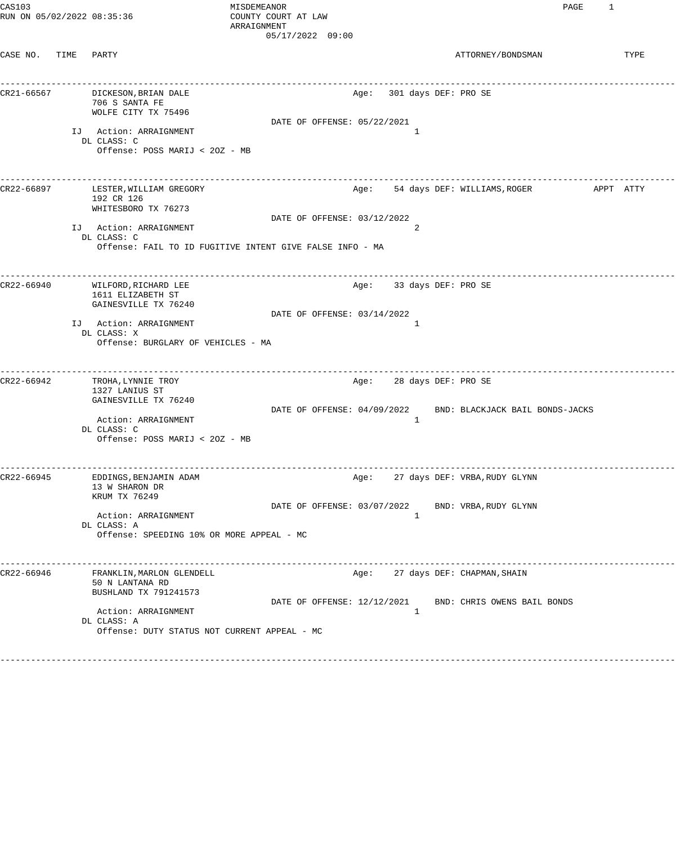| CAS103<br>RUN ON 05/02/2022 08:35:36 |      |                                                                                                   | MISDEMEANOR<br>COUNTY COURT AT LAW<br>ARRAIGNMENT<br>05/17/2022 09:00 |      |                           | PAGE                                                         | 1         |      |
|--------------------------------------|------|---------------------------------------------------------------------------------------------------|-----------------------------------------------------------------------|------|---------------------------|--------------------------------------------------------------|-----------|------|
| CASE NO.                             | TIME | PARTY                                                                                             |                                                                       |      |                           | ATTORNEY/BONDSMAN                                            |           | TYPE |
| CR21-66567                           |      | DICKESON, BRIAN DALE<br>706 S SANTA FE<br>WOLFE CITY TX 75496                                     |                                                                       |      | Age: 301 days DEF: PRO SE |                                                              |           |      |
|                                      |      | IJ Action: ARRAIGNMENT<br>DL CLASS: C<br>Offense: POSS MARIJ < 20Z - MB                           | DATE OF OFFENSE: 05/22/2021                                           |      | 1                         |                                                              |           |      |
| CR22-66897                           |      | LESTER, WILLIAM GREGORY<br>192 CR 126<br>WHITESBORO TX 76273                                      |                                                                       | Age: |                           | 54 days DEF: WILLIAMS, ROGER                                 | APPT ATTY |      |
|                                      |      |                                                                                                   | DATE OF OFFENSE: 03/12/2022                                           |      |                           |                                                              |           |      |
|                                      |      | IJ Action: ARRAIGNMENT<br>DL CLASS: C<br>Offense: FAIL TO ID FUGITIVE INTENT GIVE FALSE INFO - MA |                                                                       |      | 2                         |                                                              |           |      |
| CR22-66940                           |      | WILFORD, RICHARD LEE<br>1611 ELIZABETH ST                                                         |                                                                       | Age: |                           | 33 days DEF: PRO SE                                          |           |      |
|                                      |      | GAINESVILLE TX 76240                                                                              |                                                                       |      |                           |                                                              |           |      |
|                                      |      | IJ Action: ARRAIGNMENT<br>DL CLASS: X<br>Offense: BURGLARY OF VEHICLES - MA                       | DATE OF OFFENSE: 03/14/2022                                           |      | -1                        |                                                              |           |      |
| CR22-66942                           |      | TROHA, LYNNIE TROY<br>1327 LANIUS ST<br>GAINESVILLE TX 76240                                      |                                                                       | Age: |                           | -------------------------------------<br>28 days DEF: PRO SE |           |      |
|                                      |      | Action: ARRAIGNMENT<br>DL CLASS: C<br>Offense: POSS MARIJ < 20Z - MB                              | DATE OF OFFENSE: 04/09/2022                                           |      | 1                         | BND: BLACKJACK BAIL BONDS-JACKS                              |           |      |
| CR22-66945                           |      | EDDINGS, BENJAMIN ADAM<br>13 W SHARON DR<br>KRUM TX 76249                                         |                                                                       | Age: |                           | 27 days DEF: VRBA, RUDY GLYNN                                |           |      |
|                                      |      | Action: ARRAIGNMENT<br>DL CLASS: A<br>Offense: SPEEDING 10% OR MORE APPEAL - MC                   | DATE OF OFFENSE: 03/07/2022                                           |      | 1                         | BND: VRBA, RUDY GLYNN                                        |           |      |
| CR22-66946                           |      | FRANKLIN, MARLON GLENDELL<br>50 N LANTANA RD<br>BUSHLAND TX 791241573                             |                                                                       | Age: |                           | 27 days DEF: CHAPMAN, SHAIN                                  |           |      |
|                                      |      | Action: ARRAIGNMENT<br>DL CLASS: A<br>Offense: DUTY STATUS NOT CURRENT APPEAL - MC                | DATE OF OFFENSE: 12/12/2021                                           |      | 1                         | BND: CHRIS OWENS BAIL BONDS                                  |           |      |
|                                      |      |                                                                                                   |                                                                       |      |                           |                                                              |           |      |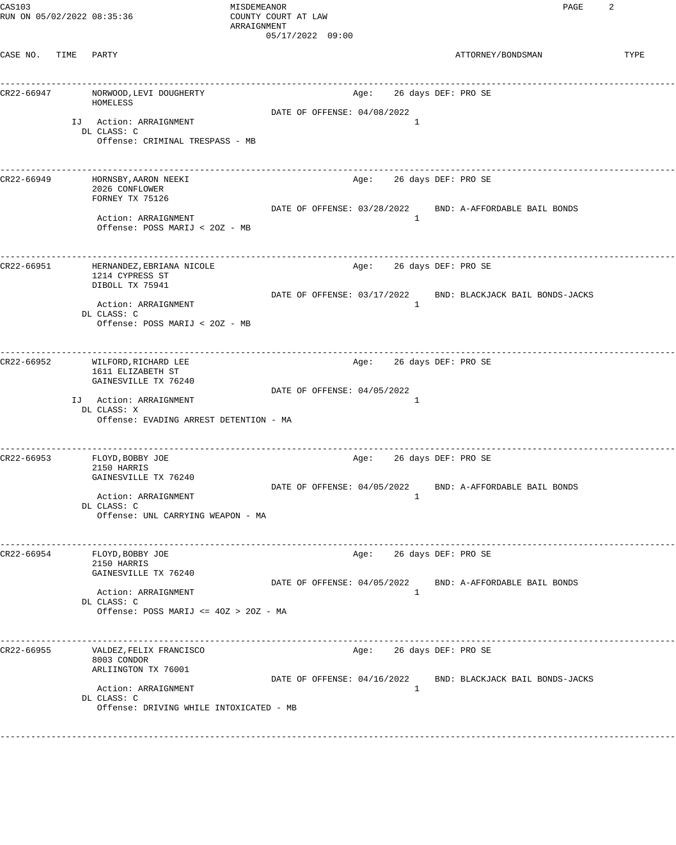CASE NO. TIME PARTY ATTORNEY/BONDSMAN TYPE ------------------------------------------------------------------------------------------------------------------------------------ CR22-66947 NORWOOD, LEVI DOUGHERTY HOMELESS DATE OF OFFENSE: 04/08/2022 IJ Action: ARRAIGNMENT DL CLASS: C Offense: CRIMINAL TRESPASS - MB ------------------------------------------------------------------------------------------------------------------------------------ CR22-66949 HORNSBY,AARON NEEKI Age: 26 days DEF: PRO SE 2026 CONFLOWER FORNEY TX 75126 DATE OF OFFENSE: 03/28/2022 BND: A-AFFORDABLE BAIL BONDS Action: ARRAIGNMENT 1 Offense: POSS MARIJ < 2OZ - MB ------------------------------------------------------------------------------------------------------------------------------------ CR22-66951 HERNANDEZ,EBRIANA NICOLE Age: 26 days DEF: PRO SE 1214 CYPRESS ST DIBOLL TX 75941 DATE OF OFFENSE: 03/17/2022 BND: BLACKJACK BAIL BONDS-JACKS Action: ARRAIGNMENT DL CLASS: C Offense: POSS MARIJ < 2OZ - MB ------------------------------------------------------------------------------------------------------------------------------------ CR22-66952 WILFORD,RICHARD LEE Age: 26 days DEF: PRO SE 1611 ELIZABETH ST GAINESVILLE TX 76240 DATE OF OFFENSE: 04/05/2022 IJ Action: ARRAIGNMENT 1 DL CLASS: X Offense: EVADING ARREST DETENTION - MA ------------------------------------------------------------------------------------------------------------------------------------ CR22-66953 FLOYD,BOBBY JOE Age: 26 days DEF: PRO SE 2150 HARRIS GAINESVILLE TX 76240 DATE OF OFFENSE: 04/05/2022 BND: A-AFFORDABLE BAIL BONDS Action: ARRAIGNMENT DL CLASS: C Offense: UNL CARRYING WEAPON - MA ------------------------------------------------------------------------------------------------------------------------------------ CR22-66954 FLOYD,BOBBY JOE Age: 26 days DEF: PRO SE 2150 HARRIS GAINESVILLE TX 76240 DATE OF OFFENSE: 04/05/2022 BND: A-AFFORDABLE BAIL BONDS Action: ARRAIGNMENT 1 DL CLASS: C Offense: POSS MARIJ <= 4OZ > 2OZ - MA ------------------------------------------------------------------------------------------------------------------------------------ VALDEZ, FELIX FRANCISCO AGES Age: 26 days DEF: PRO SE 8003 CONDOR ARLIINGTON TX 76001 DATE OF OFFENSE: 04/16/2022 BND: BLACKJACK BAIL BONDS-JACKS Action: ARRAIGNMENT 1 DL CLASS: C Offense: DRIVING WHILE INTOXICATED - MB

------------------------------------------------------------------------------------------------------------------------------------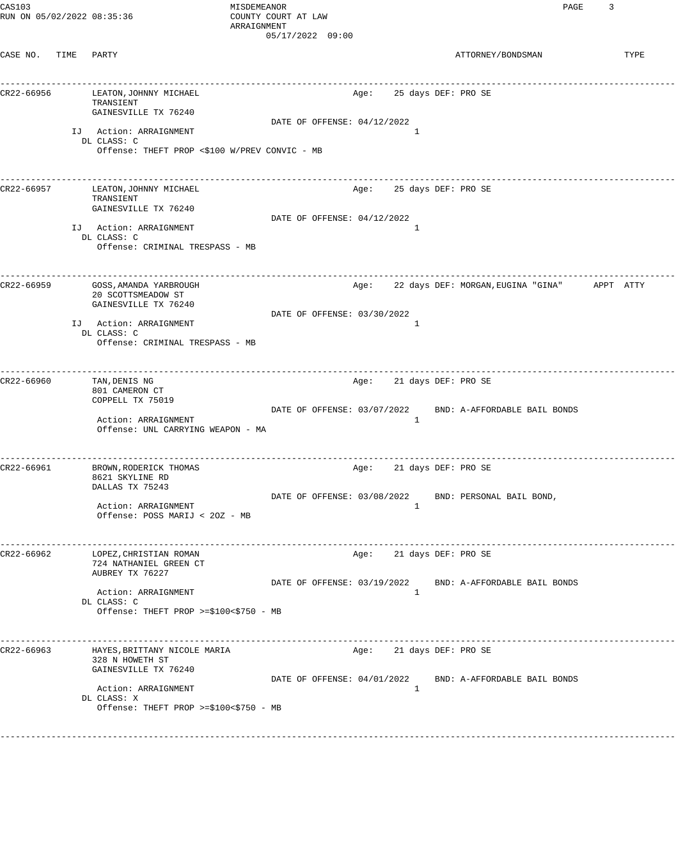| CAS103<br>RUN ON 05/02/2022 08:35:36 |      |                                                                                                                                                                                            | MISDEMEANOR<br>COUNTY COURT AT LAW<br>ARRAIGNMENT | $05/17/2022$ 09:00          |      |                                     | PAGE                                                               | 3 |      |
|--------------------------------------|------|--------------------------------------------------------------------------------------------------------------------------------------------------------------------------------------------|---------------------------------------------------|-----------------------------|------|-------------------------------------|--------------------------------------------------------------------|---|------|
| CASE NO.                             | TIME | PARTY                                                                                                                                                                                      |                                                   |                             |      |                                     | ATTORNEY/BONDSMAN                                                  |   | TYPE |
| CR22-66956                           |      | LEATON, JOHNNY MICHAEL<br>TRANSIENT<br>GAINESVILLE TX 76240<br>IJ Action: ARRAIGNMENT<br>DL CLASS: C<br>Offense: THEFT PROP <\$100 W/PREV CONVIC - MB                                      |                                                   | DATE OF OFFENSE: 04/12/2022 | Age: | 25 days DEF: PRO SE<br>1            | ____________________________________                               |   |      |
| CR22-66957                           |      | LEATON, JOHNNY MICHAEL<br>TRANSIENT<br>GAINESVILLE TX 76240<br>IJ Action: ARRAIGNMENT<br>DL CLASS: C<br>Offense: CRIMINAL TRESPASS - MB                                                    |                                                   | DATE OF OFFENSE: 04/12/2022 | Age: | 25 days DEF: PRO SE<br>1            | -------------------                                                |   |      |
| CR22-66959                           |      | GOSS, AMANDA YARBROUGH<br>20 SCOTTSMEADOW ST<br>GAINESVILLE TX 76240<br>IJ Action: ARRAIGNMENT<br>DL CLASS: C<br>Offense: CRIMINAL TRESPASS - MB                                           |                                                   | DATE OF OFFENSE: 03/30/2022 | Age: | 1                                   | 22 days DEF: MORGAN, EUGINA "GINA" APPT ATTY                       |   |      |
| CR22-66960                           |      | TAN, DENIS NG<br>801 CAMERON CT<br>COPPELL TX 75019<br>Action: ARRAIGNMENT<br>Offense: UNL CARRYING WEAPON - MA                                                                            |                                                   | DATE OF OFFENSE: 03/07/2022 | Age: | 21 days DEF: PRO SE<br>1            | -----------------<br>BND: A-AFFORDABLE BAIL BONDS                  |   |      |
| CR22-66961                           |      | BROWN, RODERICK THOMAS<br>8621 SKYLINE RD<br>DALLAS TX 75243<br>Action: ARRAIGNMENT<br>Offense: POSS MARIJ < 20Z - MB                                                                      | --------------------                              |                             | Age: | 21 days DEF: PRO SE<br>$\mathbf{1}$ | DATE OF OFFENSE: 03/08/2022 BND: PERSONAL BAIL BOND,               |   |      |
| CR22-66962                           |      | LOPEZ, CHRISTIAN ROMAN<br>724 NATHANIEL GREEN CT<br>AUBREY TX 76227<br>Action: ARRAIGNMENT<br>DL CLASS: C<br>Offense: THEFT PROP >=\$100<\$750 - MB                                        |                                                   | DATE OF OFFENSE: 03/19/2022 | Age: | 21 days DEF: PRO SE<br>$\mathbf{1}$ | __________________________________<br>BND: A-AFFORDABLE BAIL BONDS |   |      |
| CR22-66963                           |      | _______________________________<br>HAYES, BRITTANY NICOLE MARIA<br>328 N HOWETH ST<br>GAINESVILLE TX 76240<br>Action: ARRAIGNMENT<br>DL CLASS: X<br>Offense: THEFT PROP >=\$100<\$750 - MB |                                                   |                             | Age: | 21 days DEF: PRO SE<br>1            | DATE OF OFFENSE: 04/01/2022 BND: A-AFFORDABLE BAIL BONDS           |   |      |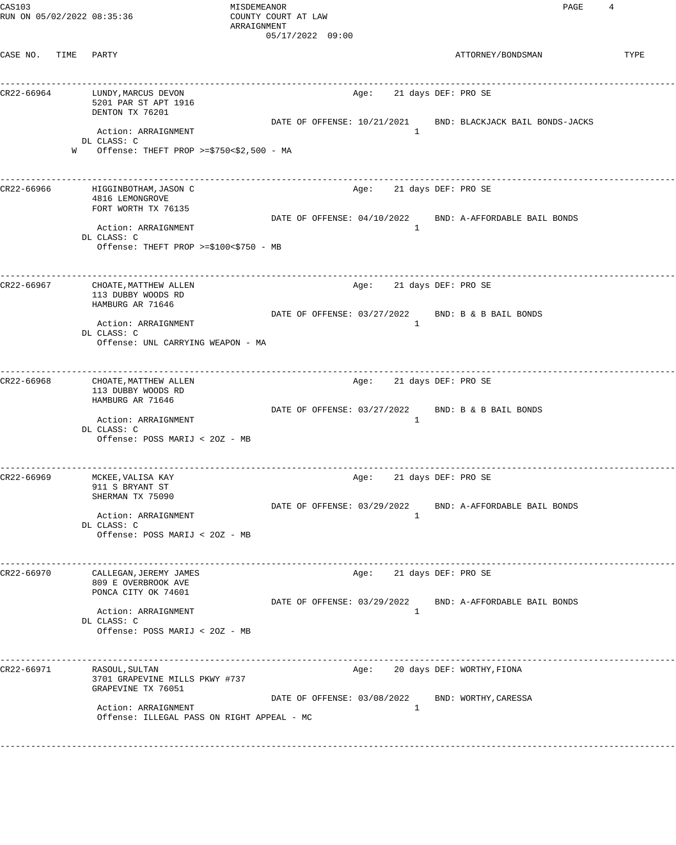| CAS103                     |   |                                                      | MISDEMEANOR         |                                      |      |              | PAGE                                                     | 4    |
|----------------------------|---|------------------------------------------------------|---------------------|--------------------------------------|------|--------------|----------------------------------------------------------|------|
| RUN ON 05/02/2022 08:35:36 |   |                                                      | COUNTY COURT AT LAW |                                      |      |              |                                                          |      |
|                            |   |                                                      | ARRAIGNMENT         |                                      |      |              |                                                          |      |
|                            |   |                                                      |                     | 05/17/2022 09:00                     |      |              |                                                          |      |
| CASE NO. TIME              |   | PARTY                                                |                     |                                      |      |              | ATTORNEY/BONDSMAN                                        | TYPE |
|                            |   |                                                      |                     |                                      |      |              |                                                          |      |
|                            |   |                                                      |                     |                                      |      |              | __________________________________                       |      |
| CR22-66964                 |   | LUNDY, MARCUS DEVON                                  |                     |                                      | Age: |              | 21 days DEF: PRO SE                                      |      |
|                            |   | 5201 PAR ST APT 1916                                 |                     |                                      |      |              |                                                          |      |
|                            |   | DENTON TX 76201                                      |                     |                                      |      |              |                                                          |      |
|                            |   | Action: ARRAIGNMENT                                  |                     | DATE OF OFFENSE: 10/21/2021          |      | 1            | BND: BLACKJACK BAIL BONDS-JACKS                          |      |
|                            |   | DL CLASS: C                                          |                     |                                      |      |              |                                                          |      |
|                            | W | Offense: THEFT PROP >= $$750<$2,500$ - MA            |                     |                                      |      |              |                                                          |      |
|                            |   |                                                      |                     |                                      |      |              |                                                          |      |
|                            |   |                                                      |                     |                                      |      |              | ___________________________                              |      |
| CR22-66966                 |   | HIGGINBOTHAM, JASON C                                |                     |                                      | Age: |              | 21 days DEF: PRO SE                                      |      |
|                            |   | 4816 LEMONGROVE<br>FORT WORTH TX 76135               |                     |                                      |      |              |                                                          |      |
|                            |   |                                                      |                     | DATE OF OFFENSE: 04/10/2022          |      |              | BND: A-AFFORDABLE BAIL BONDS                             |      |
|                            |   | Action: ARRAIGNMENT                                  |                     |                                      |      | $\mathbf{1}$ |                                                          |      |
|                            |   | DL CLASS: C                                          |                     |                                      |      |              |                                                          |      |
|                            |   | Offense: THEFT PROP >= $$100<$750 - MB$              |                     |                                      |      |              |                                                          |      |
|                            |   |                                                      |                     |                                      |      |              |                                                          |      |
| CR22-66967                 |   | CHOATE, MATTHEW ALLEN                                |                     |                                      | Age: |              | 21 days DEF: PRO SE                                      |      |
|                            |   | 113 DUBBY WOODS RD                                   |                     |                                      |      |              |                                                          |      |
|                            |   | HAMBURG AR 71646                                     |                     |                                      |      |              |                                                          |      |
|                            |   |                                                      |                     | DATE OF OFFENSE: 03/27/2022          |      |              | BND: B & B BAIL BONDS                                    |      |
|                            |   | Action: ARRAIGNMENT<br>DL CLASS: C                   |                     |                                      |      | 1            |                                                          |      |
|                            |   | Offense: UNL CARRYING WEAPON - MA                    |                     |                                      |      |              |                                                          |      |
|                            |   |                                                      |                     |                                      |      |              |                                                          |      |
|                            |   |                                                      |                     | ------------------------------------ |      |              | -----------------                                        |      |
| CR22-66968                 |   | CHOATE, MATTHEW ALLEN                                |                     |                                      | Age: |              | 21 days DEF: PRO SE                                      |      |
|                            |   | 113 DUBBY WOODS RD                                   |                     |                                      |      |              |                                                          |      |
|                            |   | HAMBURG AR 71646                                     |                     | DATE OF OFFENSE: 03/27/2022          |      |              | BND: B & B BAIL BONDS                                    |      |
|                            |   | Action: ARRAIGNMENT                                  |                     |                                      |      | 1            |                                                          |      |
|                            |   | DL CLASS: C                                          |                     |                                      |      |              |                                                          |      |
|                            |   | Offense: POSS MARIJ < 20Z - MB                       |                     |                                      |      |              |                                                          |      |
|                            |   |                                                      |                     |                                      |      |              |                                                          |      |
|                            |   |                                                      |                     |                                      |      |              |                                                          |      |
| CR22-66969                 |   | MCKEE, VALISA KAY                                    |                     |                                      | Age: |              | 21 days DEF: PRO SE                                      |      |
|                            |   | 911 S BRYANT ST<br>SHERMAN TX 75090                  |                     |                                      |      |              |                                                          |      |
|                            |   |                                                      |                     | DATE OF OFFENSE: 03/29/2022          |      |              | BND: A-AFFORDABLE BAIL BONDS                             |      |
|                            |   | Action: ARRAIGNMENT                                  |                     |                                      |      | $\mathbf{1}$ |                                                          |      |
|                            |   | DL CLASS: C                                          |                     |                                      |      |              |                                                          |      |
|                            |   | Offense: POSS MARIJ < 20Z - MB                       |                     |                                      |      |              |                                                          |      |
|                            |   |                                                      |                     |                                      |      |              |                                                          |      |
| CR22-66970                 |   | CALLEGAN, JEREMY JAMES                               |                     |                                      | Age: |              | 21 days DEF: PRO SE                                      |      |
|                            |   | 809 E OVERBROOK AVE                                  |                     |                                      |      |              |                                                          |      |
|                            |   | PONCA CITY OK 74601                                  |                     |                                      |      |              |                                                          |      |
|                            |   |                                                      |                     |                                      |      |              | DATE OF OFFENSE: 03/29/2022 BND: A-AFFORDABLE BAIL BONDS |      |
|                            |   | Action: ARRAIGNMENT<br>DL CLASS: C                   |                     |                                      |      | $\mathbf{1}$ |                                                          |      |
|                            |   | Offense: POSS MARIJ < 20Z - MB                       |                     |                                      |      |              |                                                          |      |
|                            |   |                                                      |                     |                                      |      |              |                                                          |      |
|                            |   |                                                      |                     |                                      |      |              |                                                          |      |
| CR22-66971                 |   | RASOUL, SULTAN                                       |                     |                                      | Age: |              | 20 days DEF: WORTHY, FIONA                               |      |
|                            |   | 3701 GRAPEVINE MILLS PKWY #737<br>GRAPEVINE TX 76051 |                     |                                      |      |              |                                                          |      |
|                            |   |                                                      |                     |                                      |      |              | DATE OF OFFENSE: 03/08/2022 BND: WORTHY, CARESSA         |      |
|                            |   | Action: ARRAIGNMENT                                  |                     |                                      |      | $\mathbf{1}$ |                                                          |      |
|                            |   | Offense: ILLEGAL PASS ON RIGHT APPEAL - MC           |                     |                                      |      |              |                                                          |      |
|                            |   |                                                      |                     |                                      |      |              |                                                          |      |
|                            |   |                                                      |                     |                                      |      |              |                                                          |      |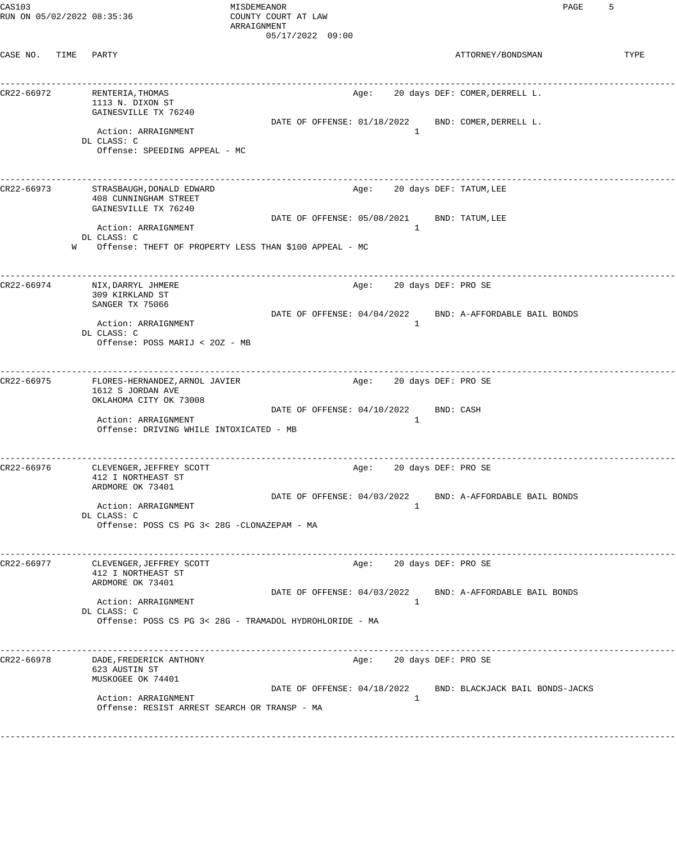| CAS103<br>RUN ON 05/02/2022 08:35:36 |                                                                                                | MISDEMEANOR<br>COUNTY COURT AT LAW<br>ARRAIGNMENT<br>05/17/2022 09:00 |                              | 5<br>PAGE                                                   |
|--------------------------------------|------------------------------------------------------------------------------------------------|-----------------------------------------------------------------------|------------------------------|-------------------------------------------------------------|
| CASE NO. TIME PARTY                  |                                                                                                |                                                                       |                              | ATTORNEY/BONDSMAN<br>TYPE                                   |
| CR22-66972                           | RENTERIA, THOMAS<br>1113 N. DIXON ST<br>GAINESVILLE TX 76240                                   |                                                                       |                              | Age: 20 days DEF: COMER, DERRELL L.                         |
|                                      | Action: ARRAIGNMENT<br>DL CLASS: C<br>Offense: SPEEDING APPEAL - MC                            |                                                                       | $\mathbf{1}$                 | DATE OF OFFENSE: 01/18/2022 BND: COMER, DERRELL L.          |
| CR22-66973                           | STRASBAUGH, DONALD EDWARD<br>408 CUNNINGHAM STREET<br>GAINESVILLE TX 76240                     |                                                                       | Age: 20 days DEF: TATUM, LEE | __________________                                          |
|                                      | Action: ARRAIGNMENT<br>DL CLASS: C<br>W Offense: THEFT OF PROPERTY LESS THAN \$100 APPEAL - MC | DATE OF OFFENSE: 05/08/2021 BND: TATUM, LEE                           | $\mathbf{1}$                 |                                                             |
| CR22-66974                           | NIX, DARRYL JHMERE<br>309 KIRKLAND ST<br>SANGER TX 75066                                       |                                                                       | Age:                         | 20 days DEF: PRO SE                                         |
|                                      | Action: ARRAIGNMENT<br>DL CLASS: C<br>Offense: POSS MARIJ < 20Z - MB                           |                                                                       | 1                            | DATE OF OFFENSE: 04/04/2022 BND: A-AFFORDABLE BAIL BONDS    |
| CR22-66975                           | FLORES-HERNANDEZ, ARNOL JAVIER<br>1612 S JORDAN AVE<br>OKLAHOMA CITY OK 73008                  |                                                                       | Age: 20 days DEF: PRO SE     | -------------------                                         |
|                                      | Action: ARRAIGNMENT<br>Offense: DRIVING WHILE INTOXICATED - MB                                 | DATE OF OFFENSE: 04/10/2022                                           | 1                            | BND: CASH                                                   |
| CR22-66976                           | CLEVENGER, JEFFREY SCOTT<br>412 I NORTHEAST ST<br>ARDMORE OK 73401                             |                                                                       | Age:                         | 20 days DEF: PRO SE                                         |
|                                      | Action: ARRAIGNMENT<br>DL CLASS: C<br>Offense: POSS CS PG 3< 28G -CLONAZEPAM - MA              |                                                                       | 1                            | DATE OF OFFENSE: 04/03/2022 BND: A-AFFORDABLE BAIL BONDS    |
| CR22-66977                           | CLEVENGER, JEFFREY SCOTT<br>412 I NORTHEAST ST<br>ARDMORE OK 73401                             |                                                                       | Age: 20 days DEF: PRO SE     |                                                             |
|                                      | Action: ARRAIGNMENT<br>DL CLASS: C<br>Offense: POSS CS PG 3< 28G - TRAMADOL HYDROHLORIDE - MA  |                                                                       | 1                            | DATE OF OFFENSE: 04/03/2022 BND: A-AFFORDABLE BAIL BONDS    |
| CR22-66978                           | DADE, FREDERICK ANTHONY<br>623 AUSTIN ST<br>MUSKOGEE OK 74401                                  |                                                                       | Age:                         | ------------------------<br>20 days DEF: PRO SE             |
|                                      | Action: ARRAIGNMENT<br>Offense: RESIST ARREST SEARCH OR TRANSP - MA                            |                                                                       | 1                            | DATE OF OFFENSE: 04/18/2022 BND: BLACKJACK BAIL BONDS-JACKS |
|                                      |                                                                                                |                                                                       |                              |                                                             |